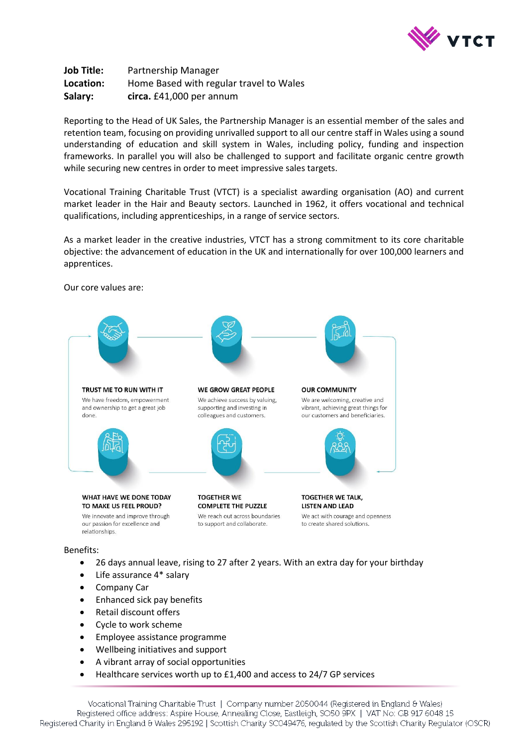

**Job Title:** Partnership Manager **Location:** Home Based with regular travel to Wales **Salary: circa.** £41,000 per annum

Reporting to the Head of UK Sales, the Partnership Manager is an essential member of the sales and retention team, focusing on providing unrivalled support to all our centre staff in Wales using a sound understanding of education and skill system in Wales, including policy, funding and inspection frameworks. In parallel you will also be challenged to support and facilitate organic centre growth while securing new centres in order to meet impressive sales targets.

Vocational Training Charitable Trust (VTCT) is a specialist awarding organisation (AO) and current market leader in the Hair and Beauty sectors. Launched in 1962, it offers vocational and technical qualifications, including apprenticeships, in a range of service sectors.

As a market leader in the creative industries, VTCT has a strong commitment to its core charitable objective: the advancement of education in the UK and internationally for over 100,000 learners and apprentices.



Our core values are:

## Benefits:

- 26 days annual leave, rising to 27 after 2 years. With an extra day for your birthday
- Life assurance 4\* salary
- Company Car
- Enhanced sick pay benefits
- Retail discount offers
- Cycle to work scheme
- Employee assistance programme
- Wellbeing initiatives and support
- A vibrant array of social opportunities
- Healthcare services worth up to £1,400 and access to 24/7 GP services

Vocational Training Charitable Trust | Company number 2050044 (Registered in England & Wales) Registered office address: Aspire House, Annealing Close, Eastleigh, SO50 9PX | VAT No: GB 917 6048 15 Registered Charity in England & Wales 295192 | Scottish Charity SC049476, regulated by the Scottish Charity Regulator (OSCR)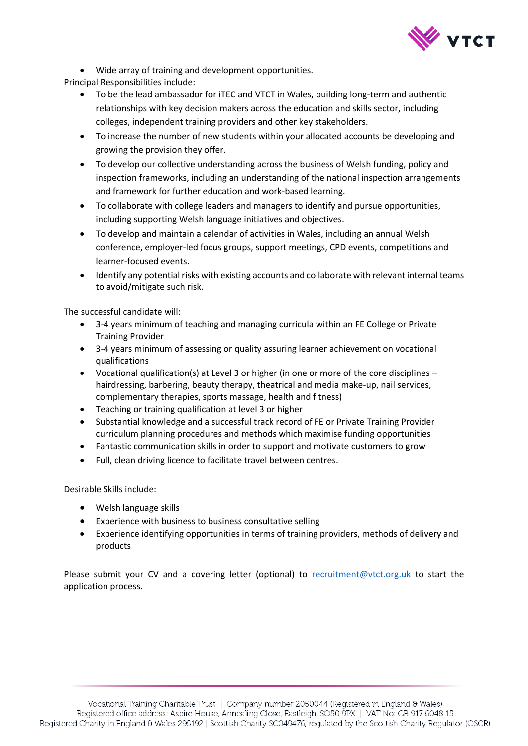

Wide array of training and development opportunities.

Principal Responsibilities include:

- To be the lead ambassador for iTEC and VTCT in Wales, building long-term and authentic relationships with key decision makers across the education and skills sector, including colleges, independent training providers and other key stakeholders.
- To increase the number of new students within your allocated accounts be developing and growing the provision they offer.
- To develop our collective understanding across the business of Welsh funding, policy and inspection frameworks, including an understanding of the national inspection arrangements and framework for further education and work-based learning.
- To collaborate with college leaders and managers to identify and pursue opportunities, including supporting Welsh language initiatives and objectives.
- To develop and maintain a calendar of activities in Wales, including an annual Welsh conference, employer-led focus groups, support meetings, CPD events, competitions and learner-focused events.
- Identify any potential risks with existing accounts and collaborate with relevant internal teams to avoid/mitigate such risk.

The successful candidate will:

- 3-4 years minimum of teaching and managing curricula within an FE College or Private Training Provider
- 3-4 years minimum of assessing or quality assuring learner achievement on vocational qualifications
- Vocational qualification(s) at Level 3 or higher (in one or more of the core disciplines hairdressing, barbering, beauty therapy, theatrical and media make-up, nail services, complementary therapies, sports massage, health and fitness)
- Teaching or training qualification at level 3 or higher
- Substantial knowledge and a successful track record of FE or Private Training Provider curriculum planning procedures and methods which maximise funding opportunities
- Fantastic communication skills in order to support and motivate customers to grow
- Full, clean driving licence to facilitate travel between centres.

Desirable Skills include:

- Welsh language skills
- Experience with business to business consultative selling
- Experience identifying opportunities in terms of training providers, methods of delivery and products

Please submit your CV and a covering letter (optional) to [recruitment@vtct.org.uk](mailto:recruitment@vtct.org.uk) to start the application process.